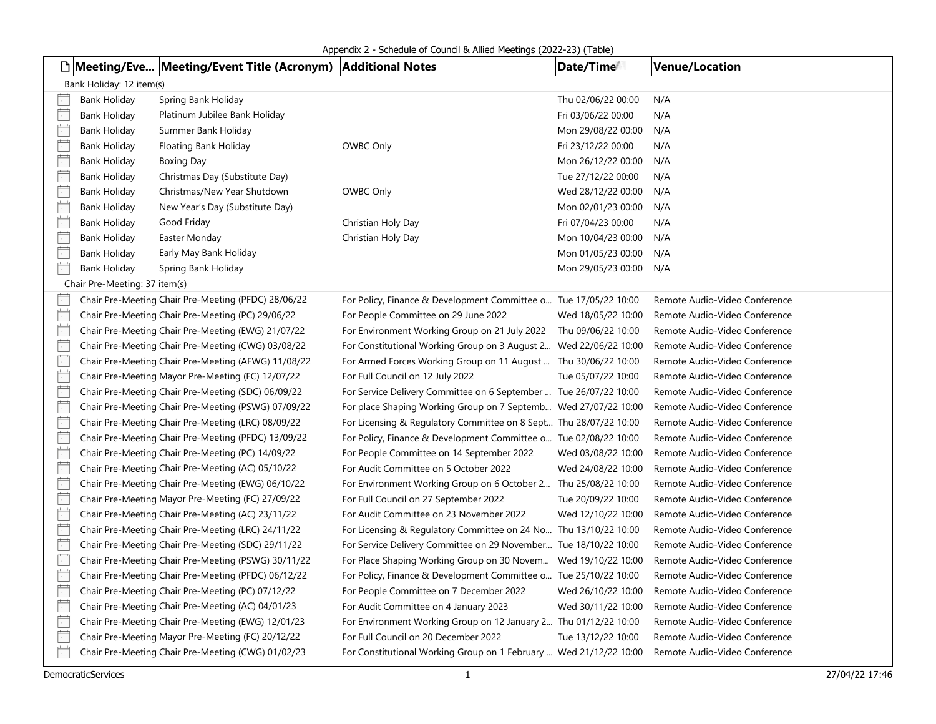|                          |                               | □ Meeting/Eve Meeting/Event Title (Acronym)   Additional Notes |                                                                     | Date/Time          | <b>Venue/Location</b>         |
|--------------------------|-------------------------------|----------------------------------------------------------------|---------------------------------------------------------------------|--------------------|-------------------------------|
|                          | Bank Holiday: 12 item(s)      |                                                                |                                                                     |                    |                               |
| $\overline{\cdot}$       | <b>Bank Holiday</b>           | Spring Bank Holiday                                            |                                                                     | Thu 02/06/22 00:00 | N/A                           |
| $\Box$                   | Bank Holiday                  | Platinum Jubilee Bank Holiday                                  |                                                                     | Fri 03/06/22 00:00 | N/A                           |
| $\overline{\phantom{a}}$ | Bank Holiday                  | Summer Bank Holiday                                            |                                                                     | Mon 29/08/22 00:00 | N/A                           |
| $\overline{\Box}$        | Bank Holiday                  | Floating Bank Holiday                                          | OWBC Only                                                           | Fri 23/12/22 00:00 | N/A                           |
| Ë                        | Bank Holiday                  | Boxing Day                                                     |                                                                     | Mon 26/12/22 00:00 | N/A                           |
| $\Box$                   | Bank Holiday                  | Christmas Day (Substitute Day)                                 |                                                                     | Tue 27/12/22 00:00 | N/A                           |
| $\overline{\Box}$        | <b>Bank Holiday</b>           | Christmas/New Year Shutdown                                    | OWBC Only                                                           | Wed 28/12/22 00:00 | N/A                           |
| $\Box$                   | Bank Holiday                  | New Year's Day (Substitute Day)                                |                                                                     | Mon 02/01/23 00:00 | N/A                           |
| Ē                        | Bank Holiday                  | Good Friday                                                    | Christian Holy Day                                                  | Fri 07/04/23 00:00 | N/A                           |
| Ē                        | Bank Holiday                  | Easter Monday                                                  | Christian Holy Day                                                  | Mon 10/04/23 00:00 | N/A                           |
| Ë                        | Bank Holiday                  | Early May Bank Holiday                                         |                                                                     | Mon 01/05/23 00:00 | N/A                           |
| $\overline{\phantom{a}}$ | Bank Holiday                  | Spring Bank Holiday                                            |                                                                     | Mon 29/05/23 00:00 | N/A                           |
|                          | Chair Pre-Meeting: 37 item(s) |                                                                |                                                                     |                    |                               |
| $\sim$                   |                               | Chair Pre-Meeting Chair Pre-Meeting (PFDC) 28/06/22            | For Policy, Finance & Development Committee o Tue 17/05/22 10:00    |                    | Remote Audio-Video Conference |
| $\Box$                   |                               | Chair Pre-Meeting Chair Pre-Meeting (PC) 29/06/22              | For People Committee on 29 June 2022                                | Wed 18/05/22 10:00 | Remote Audio-Video Conference |
| Ë                        |                               | Chair Pre-Meeting Chair Pre-Meeting (EWG) 21/07/22             | For Environment Working Group on 21 July 2022    Thu 09/06/22 10:00 |                    | Remote Audio-Video Conference |
| Ë                        |                               | Chair Pre-Meeting Chair Pre-Meeting (CWG) 03/08/22             | For Constitutional Working Group on 3 August 2 Wed 22/06/22 10:00   |                    | Remote Audio-Video Conference |
| $\overline{\phantom{a}}$ |                               | Chair Pre-Meeting Chair Pre-Meeting (AFWG) 11/08/22            | For Armed Forces Working Group on 11 August  Thu 30/06/22 10:00     |                    | Remote Audio-Video Conference |
| $\overline{\phantom{a}}$ |                               | Chair Pre-Meeting Mayor Pre-Meeting (FC) 12/07/22              | For Full Council on 12 July 2022                                    | Tue 05/07/22 10:00 | Remote Audio-Video Conference |
| Ë                        |                               | Chair Pre-Meeting Chair Pre-Meeting (SDC) 06/09/22             | For Service Delivery Committee on 6 September  Tue 26/07/22 10:00   |                    | Remote Audio-Video Conference |
| F                        |                               | Chair Pre-Meeting Chair Pre-Meeting (PSWG) 07/09/22            | For place Shaping Working Group on 7 Septemb Wed 27/07/22 10:00     |                    | Remote Audio-Video Conference |
| Ë                        |                               | Chair Pre-Meeting Chair Pre-Meeting (LRC) 08/09/22             | For Licensing & Regulatory Committee on 8 Sept Thu 28/07/22 10:00   |                    | Remote Audio-Video Conference |
| $\overline{\cdot}$       |                               | Chair Pre-Meeting Chair Pre-Meeting (PFDC) 13/09/22            | For Policy, Finance & Development Committee o Tue 02/08/22 10:00    |                    | Remote Audio-Video Conference |
| $\overline{\phantom{a}}$ |                               | Chair Pre-Meeting Chair Pre-Meeting (PC) 14/09/22              | For People Committee on 14 September 2022                           | Wed 03/08/22 10:00 | Remote Audio-Video Conference |
| Ë                        |                               | Chair Pre-Meeting Chair Pre-Meeting (AC) 05/10/22              | For Audit Committee on 5 October 2022                               | Wed 24/08/22 10:00 | Remote Audio-Video Conference |
| Ë                        |                               | Chair Pre-Meeting Chair Pre-Meeting (EWG) 06/10/22             | For Environment Working Group on 6 October 2 Thu 25/08/22 10:00     |                    | Remote Audio-Video Conference |
| $\overline{\phantom{a}}$ |                               | Chair Pre-Meeting Mayor Pre-Meeting (FC) 27/09/22              | For Full Council on 27 September 2022                               | Tue 20/09/22 10:00 | Remote Audio-Video Conference |
| Ē                        |                               | Chair Pre-Meeting Chair Pre-Meeting (AC) 23/11/22              | For Audit Committee on 23 November 2022                             | Wed 12/10/22 10:00 | Remote Audio-Video Conference |
| Ē                        |                               | Chair Pre-Meeting Chair Pre-Meeting (LRC) 24/11/22             | For Licensing & Regulatory Committee on 24 No Thu 13/10/22 10:00    |                    | Remote Audio-Video Conference |
| Ë                        |                               | Chair Pre-Meeting Chair Pre-Meeting (SDC) 29/11/22             | For Service Delivery Committee on 29 November Tue 18/10/22 10:00    |                    | Remote Audio-Video Conference |
| $\Box$                   |                               | Chair Pre-Meeting Chair Pre-Meeting (PSWG) 30/11/22            | For Place Shaping Working Group on 30 Novem Wed 19/10/22 10:00      |                    | Remote Audio-Video Conference |
| $\Box$                   |                               | Chair Pre-Meeting Chair Pre-Meeting (PFDC) 06/12/22            | For Policy, Finance & Development Committee o Tue 25/10/22 10:00    |                    | Remote Audio-Video Conference |
| $\overline{\phantom{a}}$ |                               | Chair Pre-Meeting Chair Pre-Meeting (PC) 07/12/22              | For People Committee on 7 December 2022                             | Wed 26/10/22 10:00 | Remote Audio-Video Conference |
| $\Box$                   |                               | Chair Pre-Meeting Chair Pre-Meeting (AC) 04/01/23              | For Audit Committee on 4 January 2023                               | Wed 30/11/22 10:00 | Remote Audio-Video Conference |
| Ë                        |                               | Chair Pre-Meeting Chair Pre-Meeting (EWG) 12/01/23             | For Environment Working Group on 12 January 2 Thu 01/12/22 10:00    |                    | Remote Audio-Video Conference |
| Ë                        |                               | Chair Pre-Meeting Mayor Pre-Meeting (FC) 20/12/22              | For Full Council on 20 December 2022                                | Tue 13/12/22 10:00 | Remote Audio-Video Conference |
| Ē                        |                               | Chair Pre-Meeting Chair Pre-Meeting (CWG) 01/02/23             | For Constitutional Working Group on 1 February  Wed 21/12/22 10:00  |                    | Remote Audio-Video Conference |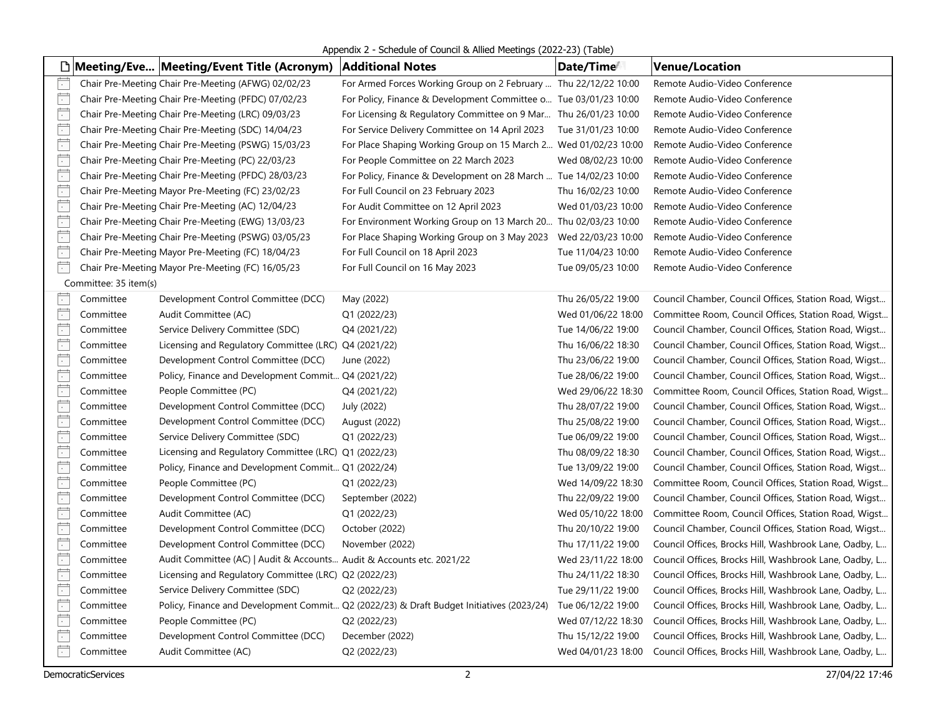Appendix 2 - Schedule of Council & Allied Meetings (2022-23) (Table)

|                          |                       | □ Meeting/Eve   Meeting/Event Title (Acronym)                         | <b>Additional Notes</b>                                                                  | Date/Time          | <b>Venue/Location</b>                                  |
|--------------------------|-----------------------|-----------------------------------------------------------------------|------------------------------------------------------------------------------------------|--------------------|--------------------------------------------------------|
| Ē                        |                       | Chair Pre-Meeting Chair Pre-Meeting (AFWG) 02/02/23                   | For Armed Forces Working Group on 2 February  Thu 22/12/22 10:00                         |                    | Remote Audio-Video Conference                          |
| F                        |                       | Chair Pre-Meeting Chair Pre-Meeting (PFDC) 07/02/23                   | For Policy, Finance & Development Committee o Tue 03/01/23 10:00                         |                    | Remote Audio-Video Conference                          |
| F                        |                       | Chair Pre-Meeting Chair Pre-Meeting (LRC) 09/03/23                    | For Licensing & Regulatory Committee on 9 Mar Thu 26/01/23 10:00                         |                    | Remote Audio-Video Conference                          |
| Ë                        |                       | Chair Pre-Meeting Chair Pre-Meeting (SDC) 14/04/23                    | For Service Delivery Committee on 14 April 2023                                          | Tue 31/01/23 10:00 | Remote Audio-Video Conference                          |
| $\overline{\phantom{a}}$ |                       | Chair Pre-Meeting Chair Pre-Meeting (PSWG) 15/03/23                   | For Place Shaping Working Group on 15 March 2 Wed 01/02/23 10:00                         |                    | Remote Audio-Video Conference                          |
| $\overline{\phantom{a}}$ |                       | Chair Pre-Meeting Chair Pre-Meeting (PC) 22/03/23                     | For People Committee on 22 March 2023                                                    | Wed 08/02/23 10:00 | Remote Audio-Video Conference                          |
| Ē                        |                       | Chair Pre-Meeting Chair Pre-Meeting (PFDC) 28/03/23                   | For Policy, Finance & Development on 28 March  Tue 14/02/23 10:00                        |                    | Remote Audio-Video Conference                          |
| Ë                        |                       | Chair Pre-Meeting Mayor Pre-Meeting (FC) 23/02/23                     | For Full Council on 23 February 2023                                                     | Thu 16/02/23 10:00 | Remote Audio-Video Conference                          |
| Ë                        |                       | Chair Pre-Meeting Chair Pre-Meeting (AC) 12/04/23                     | For Audit Committee on 12 April 2023                                                     | Wed 01/03/23 10:00 | Remote Audio-Video Conference                          |
| Ë                        |                       | Chair Pre-Meeting Chair Pre-Meeting (EWG) 13/03/23                    | For Environment Working Group on 13 March 20 Thu 02/03/23 10:00                          |                    | Remote Audio-Video Conference                          |
| Ħ                        |                       | Chair Pre-Meeting Chair Pre-Meeting (PSWG) 03/05/23                   | For Place Shaping Working Group on 3 May 2023  Wed 22/03/23 10:00                        |                    | Remote Audio-Video Conference                          |
| Ë                        |                       | Chair Pre-Meeting Mayor Pre-Meeting (FC) 18/04/23                     | For Full Council on 18 April 2023                                                        | Tue 11/04/23 10:00 | Remote Audio-Video Conference                          |
| Ë                        |                       | Chair Pre-Meeting Mayor Pre-Meeting (FC) 16/05/23                     | For Full Council on 16 May 2023                                                          | Tue 09/05/23 10:00 | Remote Audio-Video Conference                          |
|                          | Committee: 35 item(s) |                                                                       |                                                                                          |                    |                                                        |
| $\sim$                   | Committee             | Development Control Committee (DCC)                                   | May (2022)                                                                               | Thu 26/05/22 19:00 | Council Chamber, Council Offices, Station Road, Wigst  |
| $\overline{\phantom{a}}$ | Committee             | Audit Committee (AC)                                                  | Q1 (2022/23)                                                                             | Wed 01/06/22 18:00 | Committee Room, Council Offices, Station Road, Wigst   |
| $\frac{1}{\cdot}$        | Committee             | Service Delivery Committee (SDC)                                      | Q4 (2021/22)                                                                             | Tue 14/06/22 19:00 | Council Chamber, Council Offices, Station Road, Wigst  |
| $\overline{\phantom{a}}$ | Committee             | Licensing and Regulatory Committee (LRC) Q4 (2021/22)                 |                                                                                          | Thu 16/06/22 18:30 | Council Chamber, Council Offices, Station Road, Wigst  |
| Ë                        | Committee             | Development Control Committee (DCC)                                   | June (2022)                                                                              | Thu 23/06/22 19:00 | Council Chamber, Council Offices, Station Road, Wigst  |
| Ë                        | Committee             | Policy, Finance and Development Commit Q4 (2021/22)                   |                                                                                          | Tue 28/06/22 19:00 | Council Chamber, Council Offices, Station Road, Wigst  |
| İ.                       | Committee             | People Committee (PC)                                                 | Q4 (2021/22)                                                                             | Wed 29/06/22 18:30 | Committee Room, Council Offices, Station Road, Wigst   |
| Ħ                        | Committee             | Development Control Committee (DCC)                                   | July (2022)                                                                              | Thu 28/07/22 19:00 | Council Chamber, Council Offices, Station Road, Wigst  |
| F                        | Committee             | Development Control Committee (DCC)                                   | August (2022)                                                                            | Thu 25/08/22 19:00 | Council Chamber, Council Offices, Station Road, Wigst  |
| Ë                        | Committee             | Service Delivery Committee (SDC)                                      | Q1 (2022/23)                                                                             | Tue 06/09/22 19:00 | Council Chamber, Council Offices, Station Road, Wigst  |
| $\overline{\phantom{a}}$ | Committee             | Licensing and Regulatory Committee (LRC) Q1 (2022/23)                 |                                                                                          | Thu 08/09/22 18:30 | Council Chamber, Council Offices, Station Road, Wigst  |
| $\overline{\phantom{a}}$ | Committee             | Policy, Finance and Development Commit Q1 (2022/24)                   |                                                                                          | Tue 13/09/22 19:00 | Council Chamber, Council Offices, Station Road, Wigst  |
| $\Box$                   | Committee             | People Committee (PC)                                                 | Q1 (2022/23)                                                                             | Wed 14/09/22 18:30 | Committee Room, Council Offices, Station Road, Wigst   |
| Ë                        | Committee             | Development Control Committee (DCC)                                   | September (2022)                                                                         | Thu 22/09/22 19:00 | Council Chamber, Council Offices, Station Road, Wigst  |
| Ë                        | Committee             | Audit Committee (AC)                                                  | Q1 (2022/23)                                                                             | Wed 05/10/22 18:00 | Committee Room, Council Offices, Station Road, Wigst   |
| $\overline{\phantom{a}}$ | Committee             | Development Control Committee (DCC)                                   | October (2022)                                                                           | Thu 20/10/22 19:00 | Council Chamber, Council Offices, Station Road, Wigst  |
| Ħ                        | Committee             | Development Control Committee (DCC)                                   | November (2022)                                                                          | Thu 17/11/22 19:00 | Council Offices, Brocks Hill, Washbrook Lane, Oadby, L |
| Ë                        | Committee             | Audit Committee (AC)   Audit & Accounts Audit & Accounts etc. 2021/22 |                                                                                          | Wed 23/11/22 18:00 | Council Offices, Brocks Hill, Washbrook Lane, Oadby, L |
| $\mathbb{E}$             | Committee             | Licensing and Regulatory Committee (LRC) Q2 (2022/23)                 |                                                                                          | Thu 24/11/22 18:30 | Council Offices, Brocks Hill, Washbrook Lane, Oadby, L |
| Ē                        | Committee             | Service Delivery Committee (SDC)                                      | Q2 (2022/23)                                                                             | Tue 29/11/22 19:00 | Council Offices, Brocks Hill, Washbrook Lane, Oadby, L |
| $\overline{\phantom{a}}$ | Committee             |                                                                       | Policy, Finance and Development Commit Q2 (2022/23) & Draft Budget Initiatives (2023/24) | Tue 06/12/22 19:00 | Council Offices, Brocks Hill, Washbrook Lane, Oadby, L |
| $\frac{1}{\cdot}$        | Committee             | People Committee (PC)                                                 | Q2 (2022/23)                                                                             | Wed 07/12/22 18:30 | Council Offices, Brocks Hill, Washbrook Lane, Oadby, L |
| $\frac{1}{\cdot}$        | Committee             | Development Control Committee (DCC)                                   | December (2022)                                                                          | Thu 15/12/22 19:00 | Council Offices, Brocks Hill, Washbrook Lane, Oadby, L |
| Ë                        | Committee             | Audit Committee (AC)                                                  | Q2 (2022/23)                                                                             | Wed 04/01/23 18:00 | Council Offices, Brocks Hill, Washbrook Lane, Oadby, L |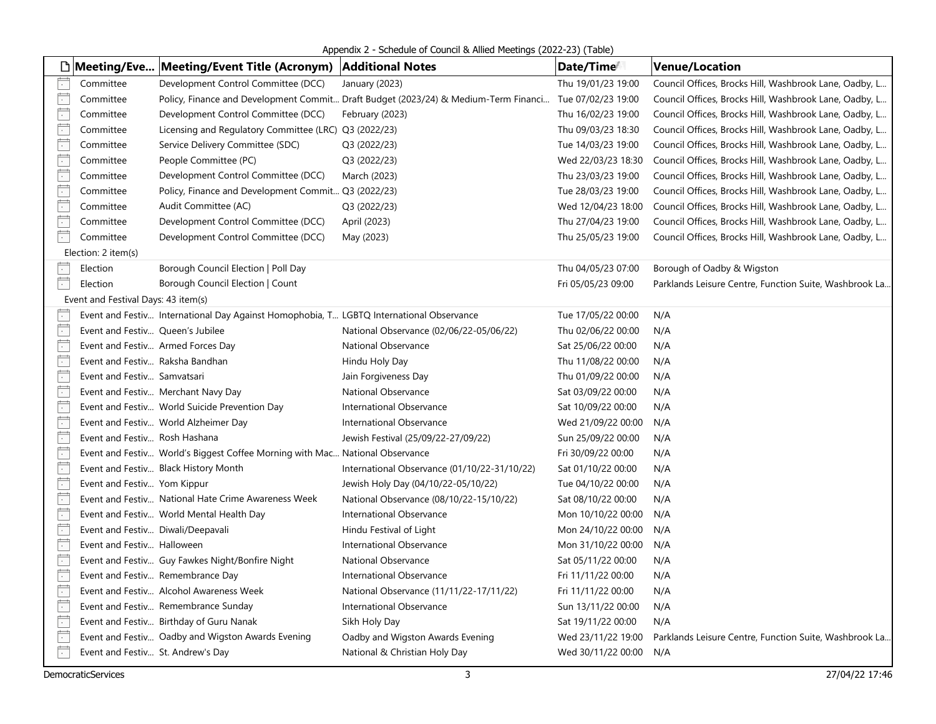Appendix 2 - Schedule of Council & Allied Meetings (2022-23) (Table)

|                          |                                     | □   Meeting/Eve   Meeting/Event Title (Acronym)   Additional Notes                      |                                                                                                        | Date/Time <sup>t</sup> | <b>Venue/Location</b>                                  |
|--------------------------|-------------------------------------|-----------------------------------------------------------------------------------------|--------------------------------------------------------------------------------------------------------|------------------------|--------------------------------------------------------|
| $\Box$                   | Committee                           | Development Control Committee (DCC)                                                     | January (2023)                                                                                         | Thu 19/01/23 19:00     | Council Offices, Brocks Hill, Washbrook Lane, Oadby, L |
| Ë                        | Committee                           |                                                                                         | Policy, Finance and Development Commit Draft Budget (2023/24) & Medium-Term Financi Tue 07/02/23 19:00 |                        | Council Offices, Brocks Hill, Washbrook Lane, Oadby, L |
| $\Box$                   | Committee                           | Development Control Committee (DCC)                                                     | February (2023)                                                                                        | Thu 16/02/23 19:00     | Council Offices, Brocks Hill, Washbrook Lane, Oadby, L |
| $\frac{1}{2}$            | Committee                           | Licensing and Regulatory Committee (LRC) Q3 (2022/23)                                   |                                                                                                        | Thu 09/03/23 18:30     | Council Offices, Brocks Hill, Washbrook Lane, Oadby, L |
| Ӫ                        | Committee                           | Service Delivery Committee (SDC)                                                        | Q3 (2022/23)                                                                                           | Tue 14/03/23 19:00     | Council Offices, Brocks Hill, Washbrook Lane, Oadby, L |
| $\Box$                   | Committee                           | People Committee (PC)                                                                   | Q3 (2022/23)                                                                                           | Wed 22/03/23 18:30     | Council Offices, Brocks Hill, Washbrook Lane, Oadby, L |
| Ë                        | Committee                           | Development Control Committee (DCC)                                                     | March (2023)                                                                                           | Thu 23/03/23 19:00     | Council Offices, Brocks Hill, Washbrook Lane, Oadby, L |
| $\overline{\Box}$        | Committee                           | Policy, Finance and Development Commit Q3 (2022/23)                                     |                                                                                                        | Tue 28/03/23 19:00     | Council Offices, Brocks Hill, Washbrook Lane, Oadby, L |
| $\overline{\phantom{a}}$ | Committee                           | Audit Committee (AC)                                                                    | Q3 (2022/23)                                                                                           | Wed 12/04/23 18:00     | Council Offices, Brocks Hill, Washbrook Lane, Oadby, L |
| Ë                        | Committee                           | Development Control Committee (DCC)                                                     | April (2023)                                                                                           | Thu 27/04/23 19:00     | Council Offices, Brocks Hill, Washbrook Lane, Oadby, L |
| 广                        | Committee                           | Development Control Committee (DCC)                                                     | May (2023)                                                                                             | Thu 25/05/23 19:00     | Council Offices, Brocks Hill, Washbrook Lane, Oadby, L |
|                          | Election: 2 item(s)                 |                                                                                         |                                                                                                        |                        |                                                        |
| $\vert \cdot \vert$      | Election                            | Borough Council Election   Poll Day                                                     |                                                                                                        | Thu 04/05/23 07:00     | Borough of Oadby & Wigston                             |
| 崮                        | Election                            | Borough Council Election   Count                                                        |                                                                                                        | Fri 05/05/23 09:00     | Parklands Leisure Centre, Function Suite, Washbrook La |
|                          | Event and Festival Days: 43 item(s) |                                                                                         |                                                                                                        |                        |                                                        |
| $\overline{\cdot}$       |                                     | Event and Festiv International Day Against Homophobia, T LGBTQ International Observance |                                                                                                        | Tue 17/05/22 00:00     | N/A                                                    |
| $\Box$                   | Event and Festiv Queen's Jubilee    |                                                                                         | National Observance (02/06/22-05/06/22)                                                                | Thu 02/06/22 00:00     | N/A                                                    |
| Ë                        |                                     | Event and Festiv Armed Forces Day                                                       | National Observance                                                                                    | Sat 25/06/22 00:00     | N/A                                                    |
| $\overline{\mathbb{R}}$  | Event and Festiv Raksha Bandhan     |                                                                                         | Hindu Holy Day                                                                                         | Thu 11/08/22 00:00     | N/A                                                    |
| Ë                        | Event and Festiv Samvatsari         |                                                                                         | Jain Forgiveness Day                                                                                   | Thu 01/09/22 00:00     | N/A                                                    |
| Ë                        |                                     | Event and Festiv Merchant Navy Day                                                      | National Observance                                                                                    | Sat 03/09/22 00:00     | N/A                                                    |
| $\overline{\mathbb{R}}$  |                                     | Event and Festiv World Suicide Prevention Day                                           | International Observance                                                                               | Sat 10/09/22 00:00     | N/A                                                    |
| Ë                        |                                     | Event and Festiv World Alzheimer Day                                                    | International Observance                                                                               | Wed 21/09/22 00:00     | N/A                                                    |
| $\overline{\cdot}$       | Event and Festiv Rosh Hashana       |                                                                                         | Jewish Festival (25/09/22-27/09/22)                                                                    | Sun 25/09/22 00:00     | N/A                                                    |
| $\frac{1}{2}$            |                                     | Event and Festiv World's Biggest Coffee Morning with Mac National Observance            |                                                                                                        | Fri 30/09/22 00:00     | N/A                                                    |
| Ë                        |                                     | Event and Festiv Black History Month                                                    | International Observance (01/10/22-31/10/22)                                                           | Sat 01/10/22 00:00     | N/A                                                    |
| $\overline{\phantom{a}}$ | Event and Festiv Yom Kippur         |                                                                                         | Jewish Holy Day (04/10/22-05/10/22)                                                                    | Tue 04/10/22 00:00     | N/A                                                    |
| Ë                        |                                     | Event and Festiv National Hate Crime Awareness Week                                     | National Observance (08/10/22-15/10/22)                                                                | Sat 08/10/22 00:00     | N/A                                                    |
| $\overline{\cdot}$       |                                     | Event and Festiv World Mental Health Day                                                | International Observance                                                                               | Mon 10/10/22 00:00     | N/A                                                    |
| Ë                        | Event and Festiv Diwali/Deepavali   |                                                                                         | Hindu Festival of Light                                                                                | Mon 24/10/22 00:00     | N/A                                                    |
| Ē                        | Event and Festiv Halloween          |                                                                                         | International Observance                                                                               | Mon 31/10/22 00:00     | N/A                                                    |
| $\overline{\phantom{a}}$ |                                     | Event and Festiv Guy Fawkes Night/Bonfire Night                                         | National Observance                                                                                    | Sat 05/11/22 00:00     | N/A                                                    |
| Ë                        |                                     | Event and Festiv Remembrance Day                                                        | International Observance                                                                               | Fri 11/11/22 00:00     | N/A                                                    |
| Ë                        |                                     | Event and Festiv Alcohol Awareness Week                                                 | National Observance (11/11/22-17/11/22)                                                                | Fri 11/11/22 00:00     | N/A                                                    |
| Ë                        |                                     | Event and Festiv Remembrance Sunday                                                     | International Observance                                                                               | Sun 13/11/22 00:00     | N/A                                                    |
| $\overline{\phantom{a}}$ |                                     | Event and Festiv Birthday of Guru Nanak                                                 | Sikh Holy Day                                                                                          | Sat 19/11/22 00:00     | N/A                                                    |
| Ӫ                        |                                     | Event and Festiv Oadby and Wigston Awards Evening                                       | Oadby and Wigston Awards Evening                                                                       | Wed 23/11/22 19:00     | Parklands Leisure Centre, Function Suite, Washbrook La |
| 广                        | Event and Festiv St. Andrew's Day   |                                                                                         | National & Christian Holy Day                                                                          | Wed 30/11/22 00:00     | N/A                                                    |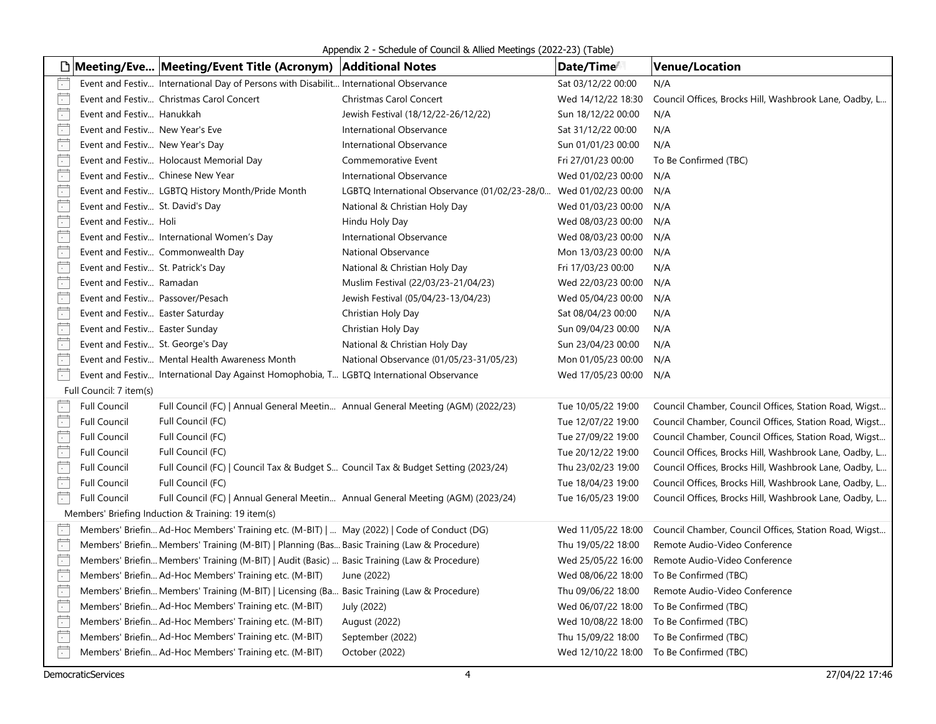Appendix 2 - Schedule of Council & Allied Meetings (2022-23) (Table)

|                            |                                    | □ Meeting/Eve Meeting/Event Title (Acronym)   Additional Notes                               |                                                                  | Date/Time          | <b>Venue/Location</b>                                  |  |  |  |
|----------------------------|------------------------------------|----------------------------------------------------------------------------------------------|------------------------------------------------------------------|--------------------|--------------------------------------------------------|--|--|--|
| F                          |                                    | Event and Festiv International Day of Persons with Disabilit International Observance        |                                                                  | Sat 03/12/22 00:00 | N/A                                                    |  |  |  |
| Ë                          |                                    | Event and Festiv Christmas Carol Concert                                                     | Christmas Carol Concert                                          | Wed 14/12/22 18:30 | Council Offices, Brocks Hill, Washbrook Lane, Oadby, L |  |  |  |
| Ē                          | Event and Festiv Hanukkah          |                                                                                              | Jewish Festival (18/12/22-26/12/22)                              | Sun 18/12/22 00:00 | N/A                                                    |  |  |  |
| $\overline{\cdot}$         | Event and Festiv New Year's Eve    |                                                                                              | International Observance                                         | Sat 31/12/22 00:00 | N/A                                                    |  |  |  |
| $\overline{\phantom{a}}$   | Event and Festiv New Year's Day    |                                                                                              | International Observance                                         | Sun 01/01/23 00:00 | N/A                                                    |  |  |  |
| $\overline{\cdot}$         |                                    | Event and Festiv Holocaust Memorial Day                                                      | Commemorative Event                                              | Fri 27/01/23 00:00 | To Be Confirmed (TBC)                                  |  |  |  |
| $\overline{\Box}$          |                                    | Event and Festiv Chinese New Year                                                            | International Observance                                         | Wed 01/02/23 00:00 | N/A                                                    |  |  |  |
| Ë                          |                                    | Event and Festiv LGBTQ History Month/Pride Month                                             | LGBTQ International Observance (01/02/23-28/0 Wed 01/02/23 00:00 |                    | N/A                                                    |  |  |  |
| $\overline{\phantom{a}}$   | Event and Festiv St. David's Day   |                                                                                              | National & Christian Holy Day                                    | Wed 01/03/23 00:00 | N/A                                                    |  |  |  |
| Ë                          | Event and Festiv Holi              |                                                                                              | Hindu Holy Day                                                   | Wed 08/03/23 00:00 | N/A                                                    |  |  |  |
| Ë                          |                                    | Event and Festiv International Women's Day                                                   | International Observance                                         | Wed 08/03/23 00:00 | N/A                                                    |  |  |  |
| Ē                          |                                    | Event and Festiv Commonwealth Day                                                            | National Observance                                              | Mon 13/03/23 00:00 | N/A                                                    |  |  |  |
| $\overline{\cdot}$         | Event and Festiv St. Patrick's Day |                                                                                              | National & Christian Holy Day                                    | Fri 17/03/23 00:00 | N/A                                                    |  |  |  |
| $\overline{\phantom{a}}$   | Event and Festiv Ramadan           |                                                                                              | Muslim Festival (22/03/23-21/04/23)                              | Wed 22/03/23 00:00 | N/A                                                    |  |  |  |
| Ē                          | Event and Festiv Passover/Pesach   |                                                                                              | Jewish Festival (05/04/23-13/04/23)                              | Wed 05/04/23 00:00 | N/A                                                    |  |  |  |
| $\Box$                     | Event and Festiv Easter Saturday   |                                                                                              | Christian Holy Day                                               | Sat 08/04/23 00:00 | N/A                                                    |  |  |  |
| $\Box$                     | Event and Festiv Easter Sunday     |                                                                                              | Christian Holy Day                                               | Sun 09/04/23 00:00 | N/A                                                    |  |  |  |
| $\overline{\phantom{a}}$   | Event and Festiv St. George's Day  |                                                                                              | National & Christian Holy Day                                    | Sun 23/04/23 00:00 | N/A                                                    |  |  |  |
| $\overline{\phantom{a}}$   |                                    | Event and Festiv Mental Health Awareness Month                                               | National Observance (01/05/23-31/05/23)                          | Mon 01/05/23 00:00 | N/A                                                    |  |  |  |
| Ë                          |                                    | Event and Festiv International Day Against Homophobia, T LGBTQ International Observance      |                                                                  | Wed 17/05/23 00:00 | N/A                                                    |  |  |  |
|                            | Full Council: 7 item(s)            |                                                                                              |                                                                  |                    |                                                        |  |  |  |
| Ħ                          | <b>Full Council</b>                | Full Council (FC)   Annual General Meetin Annual General Meeting (AGM) (2022/23)             |                                                                  | Tue 10/05/22 19:00 | Council Chamber, Council Offices, Station Road, Wigst  |  |  |  |
| $\Box$                     | <b>Full Council</b>                | Full Council (FC)                                                                            |                                                                  | Tue 12/07/22 19:00 | Council Chamber, Council Offices, Station Road, Wigst  |  |  |  |
| $\Box$                     | <b>Full Council</b>                | Full Council (FC)                                                                            |                                                                  | Tue 27/09/22 19:00 | Council Chamber, Council Offices, Station Road, Wigst  |  |  |  |
| Ë                          | <b>Full Council</b>                | Full Council (FC)                                                                            |                                                                  | Tue 20/12/22 19:00 | Council Offices, Brocks Hill, Washbrook Lane, Oadby, L |  |  |  |
| $\Box$                     | <b>Full Council</b>                | Full Council (FC)   Council Tax & Budget S Council Tax & Budget Setting (2023/24)            |                                                                  | Thu 23/02/23 19:00 | Council Offices, Brocks Hill, Washbrook Lane, Oadby, L |  |  |  |
| $\Box$                     | <b>Full Council</b>                | Full Council (FC)                                                                            |                                                                  | Tue 18/04/23 19:00 | Council Offices, Brocks Hill, Washbrook Lane, Oadby, L |  |  |  |
| 广                          | <b>Full Council</b>                | Full Council (FC)   Annual General Meetin Annual General Meeting (AGM) (2023/24)             |                                                                  | Tue 16/05/23 19:00 | Council Offices, Brocks Hill, Washbrook Lane, Oadby, L |  |  |  |
|                            |                                    | Members' Briefing Induction & Training: 19 item(s)                                           |                                                                  |                    |                                                        |  |  |  |
| $\overline{\phantom{a}}$ . |                                    | Members' Briefin Ad-Hoc Members' Training etc. (M-BIT)    May (2022)   Code of Conduct (DG)  |                                                                  | Wed 11/05/22 18:00 | Council Chamber, Council Offices, Station Road, Wigst  |  |  |  |
| Ē                          |                                    | Members' Briefin Members' Training (M-BIT)   Planning (Bas Basic Training (Law & Procedure)  |                                                                  | Thu 19/05/22 18:00 | Remote Audio-Video Conference                          |  |  |  |
| Ë                          |                                    | Members' Briefin Members' Training (M-BIT)   Audit (Basic)  Basic Training (Law & Procedure) |                                                                  | Wed 25/05/22 16:00 | Remote Audio-Video Conference                          |  |  |  |
| $\overline{\cdot}$         |                                    | Members' Briefin Ad-Hoc Members' Training etc. (M-BIT)                                       | June (2022)                                                      | Wed 08/06/22 18:00 | To Be Confirmed (TBC)                                  |  |  |  |
| $\overline{\mathbb{R}}$    |                                    | Members' Briefin Members' Training (M-BIT)   Licensing (Ba Basic Training (Law & Procedure)  |                                                                  | Thu 09/06/22 18:00 | Remote Audio-Video Conference                          |  |  |  |
| Ē                          |                                    | Members' Briefin Ad-Hoc Members' Training etc. (M-BIT)                                       | July (2022)                                                      | Wed 06/07/22 18:00 | To Be Confirmed (TBC)                                  |  |  |  |
| Ë                          |                                    | Members' Briefin Ad-Hoc Members' Training etc. (M-BIT)                                       | August (2022)                                                    | Wed 10/08/22 18:00 | To Be Confirmed (TBC)                                  |  |  |  |
| Ë                          |                                    | Members' Briefin Ad-Hoc Members' Training etc. (M-BIT)                                       | September (2022)                                                 | Thu 15/09/22 18:00 | To Be Confirmed (TBC)                                  |  |  |  |
| Ë                          |                                    | Members' Briefin Ad-Hoc Members' Training etc. (M-BIT)                                       | October (2022)                                                   |                    | Wed 12/10/22 18:00 To Be Confirmed (TBC)               |  |  |  |
|                            |                                    |                                                                                              |                                                                  |                    |                                                        |  |  |  |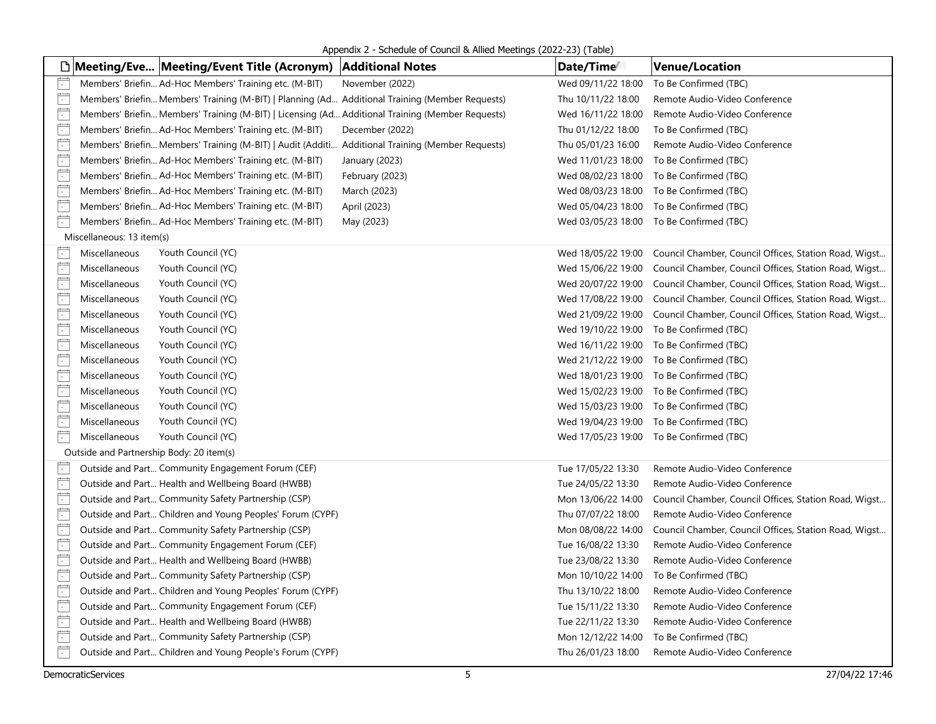Appendix 2 - Schedule of Council & Allied Meetings (2022-23) (Table)

|                          |                                          | □ Meeting/Eve Meeting/Event Title (Acronym)                                                      | <b>Additional Notes</b> | Date/Time          | <b>Venue/Location</b>                                                    |
|--------------------------|------------------------------------------|--------------------------------------------------------------------------------------------------|-------------------------|--------------------|--------------------------------------------------------------------------|
|                          |                                          | Members' Briefin Ad-Hoc Members' Training etc. (M-BIT)                                           | November (2022)         | Wed 09/11/22 18:00 | To Be Confirmed (TBC)                                                    |
| F                        |                                          | Members' Briefin Members' Training (M-BIT)   Planning (Ad Additional Training (Member Requests)  |                         | Thu 10/11/22 18:00 | Remote Audio-Video Conference                                            |
| $\overline{\phantom{a}}$ |                                          | Members' Briefin Members' Training (M-BIT)   Licensing (Ad Additional Training (Member Requests) |                         | Wed 16/11/22 18:00 | Remote Audio-Video Conference                                            |
| Ë                        |                                          | Members' Briefin Ad-Hoc Members' Training etc. (M-BIT)                                           | December (2022)         | Thu 01/12/22 18:00 | To Be Confirmed (TBC)                                                    |
| $\Box$                   |                                          | Members' Briefin Members' Training (M-BIT)   Audit (Additi Additional Training (Member Requests) |                         | Thu 05/01/23 16:00 | Remote Audio-Video Conference                                            |
| Ë                        |                                          | Members' Briefin Ad-Hoc Members' Training etc. (M-BIT)                                           | January (2023)          | Wed 11/01/23 18:00 | To Be Confirmed (TBC)                                                    |
| $\overline{\phantom{a}}$ |                                          | Members' Briefin Ad-Hoc Members' Training etc. (M-BIT)                                           | February (2023)         | Wed 08/02/23 18:00 | To Be Confirmed (TBC)                                                    |
| Ë                        |                                          | Members' Briefin Ad-Hoc Members' Training etc. (M-BIT)                                           | March (2023)            | Wed 08/03/23 18:00 | To Be Confirmed (TBC)                                                    |
| $\Box$                   |                                          | Members' Briefin Ad-Hoc Members' Training etc. (M-BIT)                                           | April (2023)            | Wed 05/04/23 18:00 | To Be Confirmed (TBC)                                                    |
| Ë                        |                                          | Members' Briefin Ad-Hoc Members' Training etc. (M-BIT)                                           | May (2023)              |                    | Wed 03/05/23 18:00 To Be Confirmed (TBC)                                 |
|                          | Miscellaneous: 13 item(s)                |                                                                                                  |                         |                    |                                                                          |
| F                        | Miscellaneous                            | Youth Council (YC)                                                                               |                         |                    | Wed 18/05/22 19:00 Council Chamber, Council Offices, Station Road, Wigst |
| $\overline{ }$           | Miscellaneous                            | Youth Council (YC)                                                                               |                         | Wed 15/06/22 19:00 | Council Chamber, Council Offices, Station Road, Wigst                    |
| Ħ                        | Miscellaneous                            | Youth Council (YC)                                                                               |                         |                    | Wed 20/07/22 19:00 Council Chamber, Council Offices, Station Road, Wigst |
| $\frac{1}{\sqrt{2}}$     | Miscellaneous                            | Youth Council (YC)                                                                               |                         | Wed 17/08/22 19:00 | Council Chamber, Council Offices, Station Road, Wigst                    |
| Ē                        | Miscellaneous                            | Youth Council (YC)                                                                               |                         | Wed 21/09/22 19:00 | Council Chamber, Council Offices, Station Road, Wigst                    |
| $\overline{\cdot}$       | Miscellaneous                            | Youth Council (YC)                                                                               |                         | Wed 19/10/22 19:00 | To Be Confirmed (TBC)                                                    |
| $\mathbb{R}^+$           | Miscellaneous                            | Youth Council (YC)                                                                               |                         |                    | Wed 16/11/22 19:00 To Be Confirmed (TBC)                                 |
| $\overline{\phantom{a}}$ | Miscellaneous                            | Youth Council (YC)                                                                               |                         |                    | Wed 21/12/22 19:00 To Be Confirmed (TBC)                                 |
| Ë                        | Miscellaneous                            | Youth Council (YC)                                                                               |                         |                    | Wed 18/01/23 19:00 To Be Confirmed (TBC)                                 |
| È                        | Miscellaneous                            | Youth Council (YC)                                                                               |                         |                    | Wed 15/02/23 19:00 To Be Confirmed (TBC)                                 |
| $\overline{ }$           | Miscellaneous                            | Youth Council (YC)                                                                               |                         |                    | Wed 15/03/23 19:00 To Be Confirmed (TBC)                                 |
| $\mathbb{R}^+$           | Miscellaneous                            | Youth Council (YC)                                                                               |                         |                    | Wed 19/04/23 19:00 To Be Confirmed (TBC)                                 |
| Ħ                        | Miscellaneous                            | Youth Council (YC)                                                                               |                         |                    | Wed 17/05/23 19:00 To Be Confirmed (TBC)                                 |
|                          | Outside and Partnership Body: 20 item(s) |                                                                                                  |                         |                    |                                                                          |
| $\overline{\phantom{0}}$ |                                          | Outside and Part Community Engagement Forum (CEF)                                                |                         | Tue 17/05/22 13:30 | Remote Audio-Video Conference                                            |
| Ħ                        |                                          | Outside and Part Health and Wellbeing Board (HWBB)                                               |                         | Tue 24/05/22 13:30 | Remote Audio-Video Conference                                            |
| Ë                        |                                          | Outside and Part Community Safety Partnership (CSP)                                              |                         | Mon 13/06/22 14:00 | Council Chamber, Council Offices, Station Road, Wigst                    |
| $\overline{\phantom{1}}$ |                                          | Outside and Part Children and Young Peoples' Forum (CYPF)                                        |                         | Thu 07/07/22 18:00 | Remote Audio-Video Conference                                            |
| Ë                        |                                          | Outside and Part Community Safety Partnership (CSP)                                              |                         | Mon 08/08/22 14:00 | Council Chamber, Council Offices, Station Road, Wigst                    |
| F                        |                                          | Outside and Part Community Engagement Forum (CEF)                                                |                         | Tue 16/08/22 13:30 | Remote Audio-Video Conference                                            |
| $\Box$                   |                                          | Outside and Part Health and Wellbeing Board (HWBB)                                               |                         | Tue 23/08/22 13:30 | Remote Audio-Video Conference                                            |
| $\overline{ }$           |                                          | Outside and Part Community Safety Partnership (CSP)                                              |                         | Mon 10/10/22 14:00 | To Be Confirmed (TBC)                                                    |
| $\Box$                   |                                          | Outside and Part Children and Young Peoples' Forum (CYPF)                                        |                         | Thu 13/10/22 18:00 | Remote Audio-Video Conference                                            |
| Ë                        |                                          | Outside and Part Community Engagement Forum (CEF)                                                |                         | Tue 15/11/22 13:30 | Remote Audio-Video Conference                                            |
| Ë                        |                                          | Outside and Part Health and Wellbeing Board (HWBB)                                               |                         | Tue 22/11/22 13:30 | Remote Audio-Video Conference                                            |
|                          |                                          | Outside and Part Community Safety Partnership (CSP)                                              |                         | Mon 12/12/22 14:00 | To Be Confirmed (TBC)                                                    |
| $\overline{ }$           |                                          | Outside and Part Children and Young People's Forum (CYPF)                                        |                         | Thu 26/01/23 18:00 | Remote Audio-Video Conference                                            |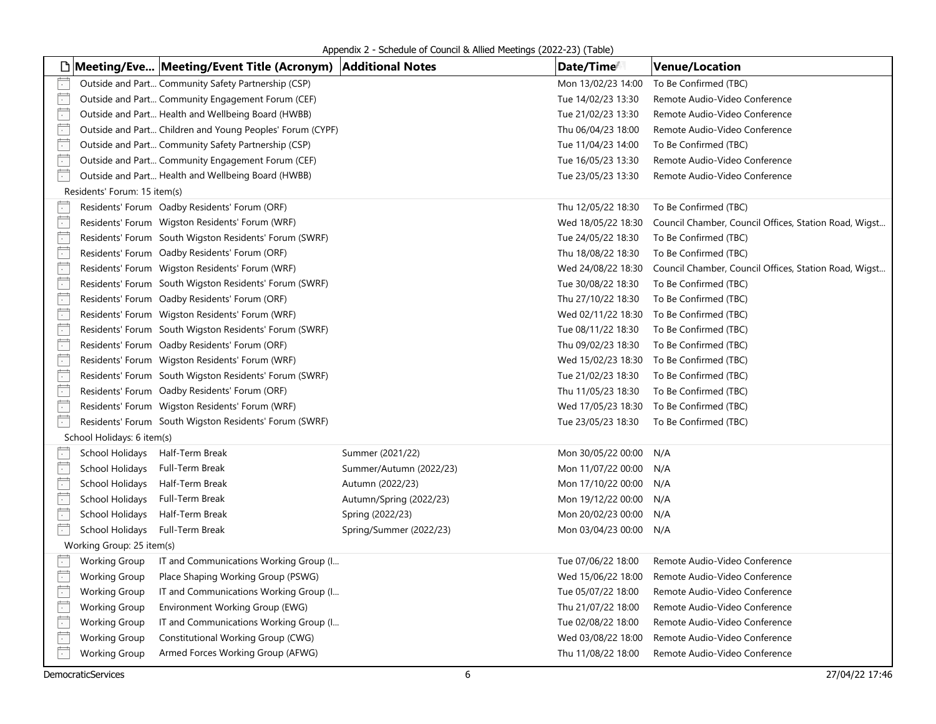Appendix 2 - Schedule of Council & Allied Meetings (2022-23) (Table)

|                          |                                 | □ Meeting/Eve Meeting/Event Title (Acronym)   Additional Notes |                         | Date/Time          | <b>Venue/Location</b>                                 |
|--------------------------|---------------------------------|----------------------------------------------------------------|-------------------------|--------------------|-------------------------------------------------------|
|                          |                                 | Outside and Part Community Safety Partnership (CSP)            |                         | Mon 13/02/23 14:00 | To Be Confirmed (TBC)                                 |
| F                        |                                 | Outside and Part Community Engagement Forum (CEF)              |                         | Tue 14/02/23 13:30 | Remote Audio-Video Conference                         |
| $\overline{\cdot}$       |                                 | Outside and Part Health and Wellbeing Board (HWBB)             |                         | Tue 21/02/23 13:30 | Remote Audio-Video Conference                         |
| Ë                        |                                 | Outside and Part Children and Young Peoples' Forum (CYPF)      |                         | Thu 06/04/23 18:00 | Remote Audio-Video Conference                         |
| $\mathbb{R}$             |                                 | Outside and Part Community Safety Partnership (CSP)            |                         | Tue 11/04/23 14:00 | To Be Confirmed (TBC)                                 |
| $\frac{1}{\sqrt{2}}$     |                                 | Outside and Part Community Engagement Forum (CEF)              |                         | Tue 16/05/23 13:30 | Remote Audio-Video Conference                         |
| Ħ                        |                                 | Outside and Part Health and Wellbeing Board (HWBB)             |                         | Tue 23/05/23 13:30 | Remote Audio-Video Conference                         |
|                          | Residents' Forum: 15 item(s)    |                                                                |                         |                    |                                                       |
| $\vert \cdot \vert$      |                                 | Residents' Forum Oadby Residents' Forum (ORF)                  |                         | Thu 12/05/22 18:30 | To Be Confirmed (TBC)                                 |
| $\overline{\phantom{1}}$ |                                 | Residents' Forum Wigston Residents' Forum (WRF)                |                         | Wed 18/05/22 18:30 | Council Chamber, Council Offices, Station Road, Wigst |
| $\overline{\cdot}$       |                                 | Residents' Forum South Wigston Residents' Forum (SWRF)         |                         | Tue 24/05/22 18:30 | To Be Confirmed (TBC)                                 |
| $\overline{\cdot}$       |                                 | Residents' Forum Oadby Residents' Forum (ORF)                  |                         | Thu 18/08/22 18:30 | To Be Confirmed (TBC)                                 |
| Ë                        |                                 | Residents' Forum Wigston Residents' Forum (WRF)                |                         | Wed 24/08/22 18:30 | Council Chamber, Council Offices, Station Road, Wigst |
| $\overline{\phantom{a}}$ |                                 | Residents' Forum South Wigston Residents' Forum (SWRF)         |                         | Tue 30/08/22 18:30 | To Be Confirmed (TBC)                                 |
| $\frac{1}{\sqrt{2}}$     |                                 | Residents' Forum Oadby Residents' Forum (ORF)                  |                         | Thu 27/10/22 18:30 | To Be Confirmed (TBC)                                 |
| $\overline{\phantom{a}}$ |                                 | Residents' Forum Wigston Residents' Forum (WRF)                |                         | Wed 02/11/22 18:30 | To Be Confirmed (TBC)                                 |
| $\overline{\cdot}$       |                                 | Residents' Forum South Wigston Residents' Forum (SWRF)         |                         | Tue 08/11/22 18:30 | To Be Confirmed (TBC)                                 |
| $\Box$                   |                                 | Residents' Forum Oadby Residents' Forum (ORF)                  |                         | Thu 09/02/23 18:30 | To Be Confirmed (TBC)                                 |
| Ë                        |                                 | Residents' Forum Wigston Residents' Forum (WRF)                |                         | Wed 15/02/23 18:30 | To Be Confirmed (TBC)                                 |
| $\overline{\cdot}$       |                                 | Residents' Forum South Wigston Residents' Forum (SWRF)         |                         | Tue 21/02/23 18:30 | To Be Confirmed (TBC)                                 |
| $\frac{1}{\cdot}$        |                                 | Residents' Forum Oadby Residents' Forum (ORF)                  |                         | Thu 11/05/23 18:30 | To Be Confirmed (TBC)                                 |
| $\overline{\phantom{a}}$ |                                 | Residents' Forum Wigston Residents' Forum (WRF)                |                         | Wed 17/05/23 18:30 | To Be Confirmed (TBC)                                 |
| $\overline{\phantom{1}}$ |                                 | Residents' Forum South Wigston Residents' Forum (SWRF)         |                         | Tue 23/05/23 18:30 | To Be Confirmed (TBC)                                 |
|                          | School Holidays: 6 item(s)      |                                                                |                         |                    |                                                       |
| $ \cdot $                | School Holidays Half-Term Break |                                                                | Summer (2021/22)        | Mon 30/05/22 00:00 | N/A                                                   |
| $\overline{\cdot}$       | School Holidays                 | Full-Term Break                                                | Summer/Autumn (2022/23) | Mon 11/07/22 00:00 | N/A                                                   |
| Ë                        | School Holidays                 | Half-Term Break                                                | Autumn (2022/23)        | Mon 17/10/22 00:00 | N/A                                                   |
| Ë                        | School Holidays                 | Full-Term Break                                                | Autumn/Spring (2022/23) | Mon 19/12/22 00:00 | N/A                                                   |
| Ë                        | School Holidays                 | Half-Term Break                                                | Spring (2022/23)        | Mon 20/02/23 00:00 | N/A                                                   |
| Ë                        | School Holidays                 | Full-Term Break                                                | Spring/Summer (2022/23) | Mon 03/04/23 00:00 | N/A                                                   |
|                          | Working Group: 25 item(s)       |                                                                |                         |                    |                                                       |
| Ħ                        | <b>Working Group</b>            | IT and Communications Working Group (I                         |                         | Tue 07/06/22 18:00 | Remote Audio-Video Conference                         |
| Ħ                        | <b>Working Group</b>            | Place Shaping Working Group (PSWG)                             |                         | Wed 15/06/22 18:00 | Remote Audio-Video Conference                         |
| Ë                        | <b>Working Group</b>            | IT and Communications Working Group (I                         |                         | Tue 05/07/22 18:00 | Remote Audio-Video Conference                         |
| Ë                        | <b>Working Group</b>            | Environment Working Group (EWG)                                |                         | Thu 21/07/22 18:00 | Remote Audio-Video Conference                         |
| $\Box$                   | <b>Working Group</b>            | IT and Communications Working Group (I                         |                         | Tue 02/08/22 18:00 | Remote Audio-Video Conference                         |
| $\Box$                   | <b>Working Group</b>            | Constitutional Working Group (CWG)                             |                         | Wed 03/08/22 18:00 | Remote Audio-Video Conference                         |
| Ë                        | <b>Working Group</b>            | Armed Forces Working Group (AFWG)                              |                         | Thu 11/08/22 18:00 | Remote Audio-Video Conference                         |